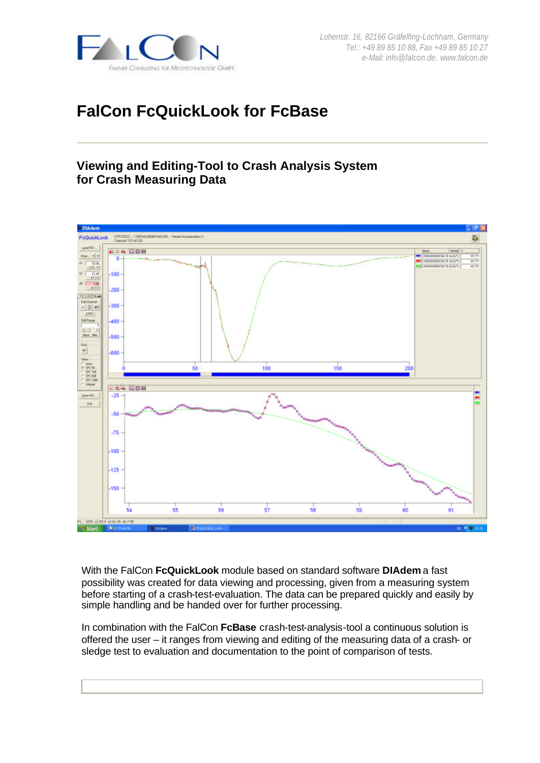

# **FalCon FcQuickLook for FcBase**

## **Viewing and Editing-Tool to Crash Analysis System for Crash Measuring Data**



With the FalCon **FcQuickLook** module based on standard software **DIAdem** a fast possibility was created for data viewing and processing, given from a measuring system before starting of a crash-test-evaluation. The data can be prepared quickly and easily by simple handling and be handed over for further processing.

In combination with the FalCon **FcBase** crash-test-analysis-tool a continuous solution is offered the user – it ranges from viewing and editing of the measuring data of a crash- or sledge test to evaluation and documentation to the point of comparison of tests.